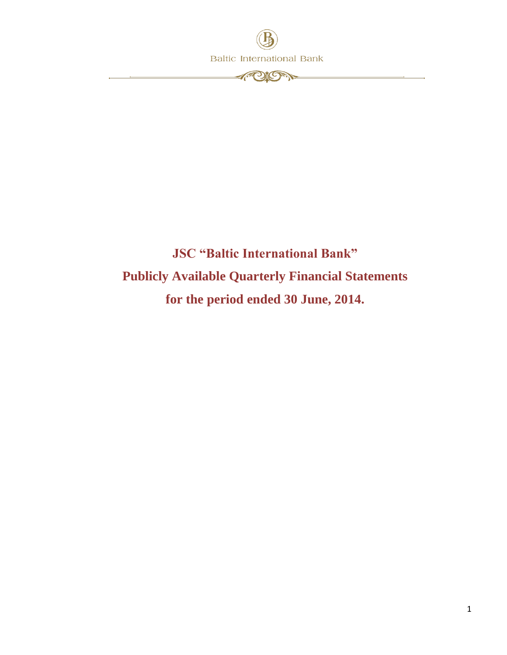

## **JSC "Baltic International Bank" Publicly Available Quarterly Financial Statements for the period ended 30 June, 2014.**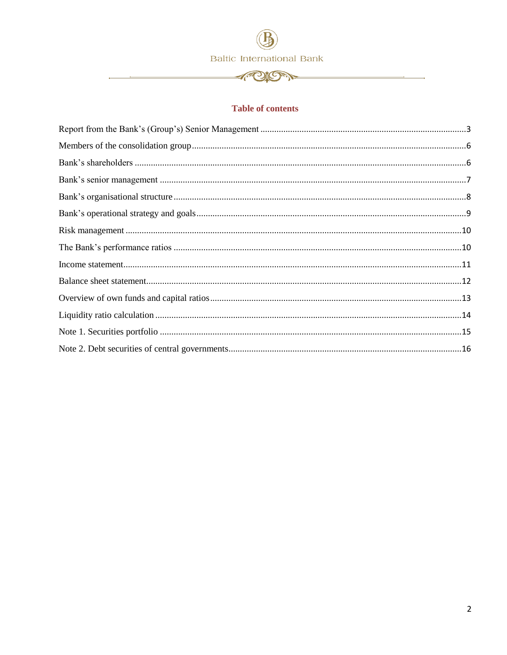**APION** 

#### **Table of contents**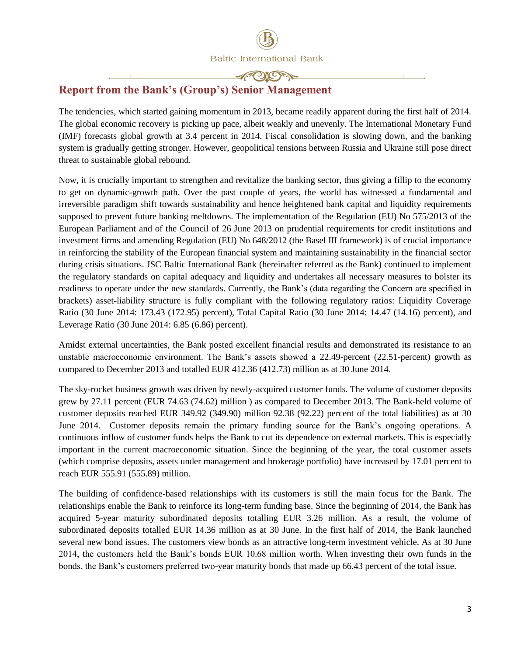#### **CAPITORY**

### <span id="page-2-0"></span>**Report from the Bank's (Group's) Senior Management**

The tendencies, which started gaining momentum in 2013, became readily apparent during the first half of 2014. The global economic recovery is picking up pace, albeit weakly and unevenly. The International Monetary Fund (IMF) forecasts global growth at 3.4 percent in 2014. Fiscal consolidation is slowing down, and the banking system is gradually getting stronger. However, geopolitical tensions between Russia and Ukraine still pose direct threat to sustainable global rebound.

Now, it is crucially important to strengthen and revitalize the banking sector, thus giving a fillip to the economy to get on dynamic-growth path. Over the past couple of years, the world has witnessed a fundamental and irreversible paradigm shift towards sustainability and hence heightened bank capital and liquidity requirements supposed to prevent future banking meltdowns. The implementation of the Regulation (EU) No 575/2013 of the European Parliament and of the Council of 26 June 2013 on prudential requirements for credit institutions and investment firms and amending Regulation (EU) No 648/2012 (the Basel III framework) is of crucial importance in reinforcing the stability of the European financial system and maintaining sustainability in the financial sector during crisis situations. JSC Baltic International Bank (hereinafter referred as the Bank) continued to implement the regulatory standards on capital adequacy and liquidity and undertakes all necessary measures to bolster its readiness to operate under the new standards. Currently, the Bank's (data regarding the Concern are specified in brackets) asset-liability structure is fully compliant with the following regulatory ratios: Liquidity Coverage Ratio (30 June 2014: 173.43 (172.95) percent), Total Capital Ratio (30 June 2014: 14.47 (14.16) percent), and Leverage Ratio (30 June 2014: 6.85 (6.86) percent).

Amidst external uncertainties, the Bank posted excellent financial results and demonstrated its resistance to an unstable macroeconomic environment. The Bank's assets showed a 22.49-percent (22.51-percent) growth as compared to December 2013 and totalled EUR 412.36 (412.73) million as at 30 June 2014.

The sky-rocket business growth was driven by newly-acquired customer funds. The volume of customer deposits grew by 27.11 percent (EUR 74.63 (74.62) million ) as compared to December 2013. The Bank-held volume of customer deposits reached EUR 349.92 (349.90) million 92.38 (92.22) percent of the total liabilities) as at 30 June 2014. Customer deposits remain the primary funding source for the Bank's ongoing operations. A continuous inflow of customer funds helps the Bank to cut its dependence on external markets. This is especially important in the current macroeconomic situation. Since the beginning of the year, the total customer assets (which comprise deposits, assets under management and brokerage portfolio) have increased by 17.01 percent to reach EUR 555.91 (555.89) million.

The building of confidence-based relationships with its customers is still the main focus for the Bank. The relationships enable the Bank to reinforce its long-term funding base. Since the beginning of 2014, the Bank has acquired 5-year maturity subordinated deposits totalling EUR 3.26 million. As a result, the volume of subordinated deposits totalled EUR 14.36 million as at 30 June. In the first half of 2014, the Bank launched several new bond issues. The customers view bonds as an attractive long-term investment vehicle. As at 30 June 2014, the customers held the Bank's bonds EUR 10.68 million worth. When investing their own funds in the bonds, the Bank's customers preferred two-year maturity bonds that made up 66.43 percent of the total issue.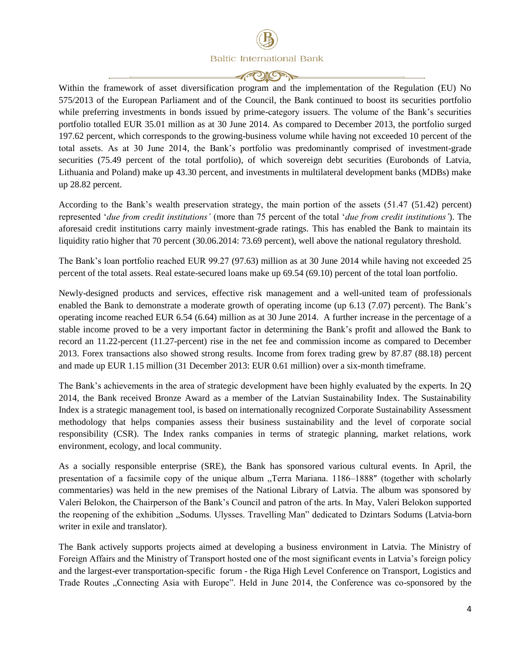**CAPITORY** 

Within the framework of asset diversification program and the implementation of the Regulation (EU) No 575/2013 of the European Parliament and of the Council, the Bank continued to boost its securities portfolio while preferring investments in bonds issued by prime-category issuers. The volume of the Bank's securities portfolio totalled EUR 35.01 million as at 30 June 2014. As compared to December 2013, the portfolio surged 197.62 percent, which corresponds to the growing-business volume while having not exceeded 10 percent of the total assets. As at 30 June 2014, the Bank's portfolio was predominantly comprised of investment-grade securities (75.49 percent of the total portfolio), of which sovereign debt securities (Eurobonds of Latvia, Lithuania and Poland) make up 43.30 percent, and investments in multilateral development banks (MDBs) make up 28.82 percent.

According to the Bank's wealth preservation strategy, the main portion of the assets (51.47 (51.42) percent) represented '*due from credit institutions'* (more than 75 percent of the total '*due from credit institutions'*). The aforesaid credit institutions carry mainly investment-grade ratings. This has enabled the Bank to maintain its liquidity ratio higher that 70 percent (30.06.2014: 73.69 percent), well above the national regulatory threshold.

The Bank's loan portfolio reached EUR 99.27 (97.63) million as at 30 June 2014 while having not exceeded 25 percent of the total assets. Real estate-secured loans make up 69.54 (69.10) percent of the total loan portfolio.

Newly-designed products and services, effective risk management and a well-united team of professionals enabled the Bank to demonstrate a moderate growth of operating income (up 6.13 (7.07) percent). The Bank's operating income reached EUR 6.54 (6.64) million as at 30 June 2014. A further increase in the percentage of a stable income proved to be a very important factor in determining the Bank's profit and allowed the Bank to record an 11.22-percent (11.27-percent) rise in the net fee and commission income as compared to December 2013. Forex transactions also showed strong results. Income from forex trading grew by 87.87 (88.18) percent and made up EUR 1.15 million (31 December 2013: EUR 0.61 million) over a six-month timeframe.

The Bank's achievements in the area of strategic development have been highly evaluated by the experts. In 2Q 2014, the Bank received Bronze Award as a member of the Latvian Sustainability Index. The Sustainability Index is a strategic management tool, is based on internationally recognized Corporate Sustainability Assessment methodology that helps companies assess their business sustainability and the level of corporate social responsibility (CSR). The Index ranks companies in terms of strategic planning, market relations, work environment, ecology, and local community.

As a socially responsible enterprise (SRE), the Bank has sponsored various cultural events. In April, the presentation of a facsimile copy of the unique album "Terra Mariana. 1186–1888" (together with scholarly commentaries) was held in the new premises of the National Library of Latvia. The album was sponsored by Valeri Belokon, the Chairperson of the Bank's Council and patron of the arts. In May, Valeri Belokon supported the reopening of the exhibition "Sodums. Ulysses. Travelling Man" dedicated to Dzintars Sodums (Latvia-born writer in exile and translator).

The Bank actively supports projects aimed at developing a business environment in Latvia. The Ministry of Foreign Affairs and the Ministry of Transport hosted one of the most significant events in Latvia's foreign policy and the largest-ever transportation-specific forum - the Riga High Level Conference on Transport, Logistics and Trade Routes "Connecting Asia with Europe". Held in June 2014, the Conference was co-sponsored by the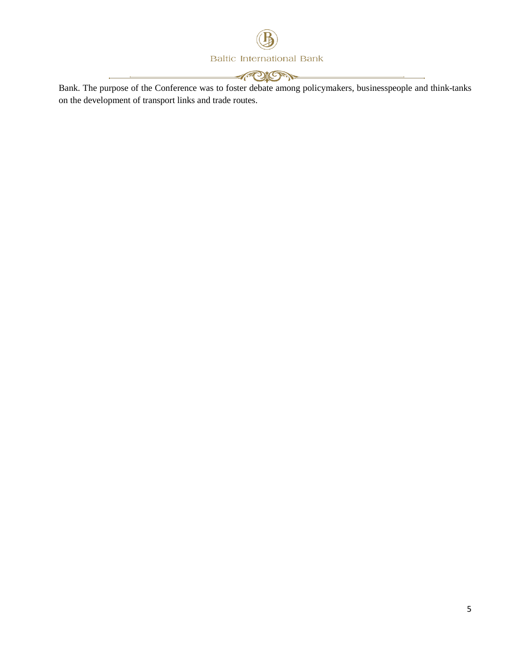

**APION** 

Bank. The purpose of the Conference was to foster debate among policymakers, businesspeople and think-tanks on the development of transport links and trade routes.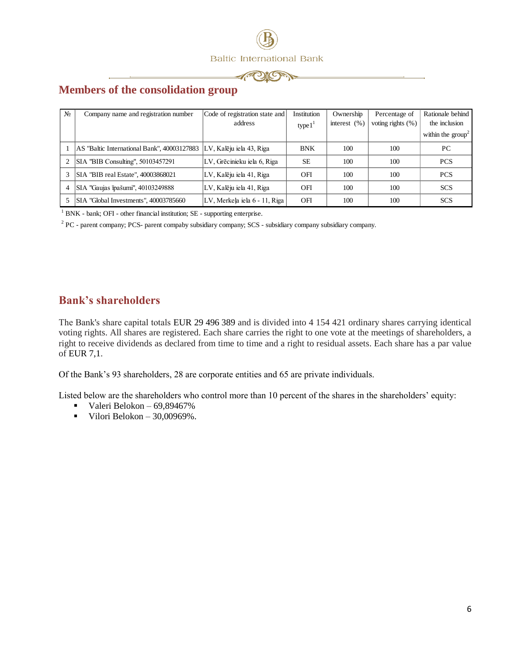



## <span id="page-5-0"></span>**Members of the consolidation group**

| N <sub>0</sub> | Company name and registration number        | Code of registration state and | Institution | Ownership        | Percentage of         | Rationale behind            |
|----------------|---------------------------------------------|--------------------------------|-------------|------------------|-----------------------|-----------------------------|
|                |                                             | address                        | type $11$   | interest $(\% )$ | voting rights $(\% )$ | the inclusion               |
|                |                                             |                                |             |                  |                       | within the $\text{group}^2$ |
|                | AS "Baltic International Bank", 40003127883 | LV, Kalēju iela 43, Riga       | <b>BNK</b>  | 100              | 100                   | PC                          |
|                | SIA "BIB Consulting", 50103457291           | LV, Grēcinieku iela 6, Riga    | <b>SE</b>   | 100              | 100                   | <b>PCS</b>                  |
|                | SIA "BIB real Estate", 40003868021          | LV, Kalēju iela 41, Riga       | OFI         | 100              | 100                   | <b>PCS</b>                  |
| 4              | SIA "Gaujas īpašumi", 40103249888           | LV, Kalēju iela 41, Riga       | OFI         | 100              | 100                   | <b>SCS</b>                  |
|                | SIA "Global Investments", 40003785660       | LV, Merkela iela 6 - 11, Riga  | OFI         | 100              | 100                   | <b>SCS</b>                  |

<sup>1</sup> BNK - bank; OFI - other financial institution; SE - supporting enterprise.

<sup>2</sup> PC - parent company; PCS- parent compaby subsidiary company; SCS - subsidiary company subsidiary company.

#### <span id="page-5-1"></span>**Bank's shareholders**

The Вank's share capital totals EUR 29 496 389 and is divided into 4 154 421 ordinary shares carrying identical voting rights. All shares are registered. Each share carries the right to one vote at the meetings of shareholders, a right to receive dividends as declared from time to time and a right to residual assets. Each share has a par value of EUR 7,1.

Of the Bank's 93 shareholders, 28 are corporate entities and 65 are private individuals.

Listed below are the shareholders who control more than 10 percent of the shares in the shareholders' equity:

- Valeri Belokon  $69,89467\%$
- Vilori Belokon  $30,00969\%$ .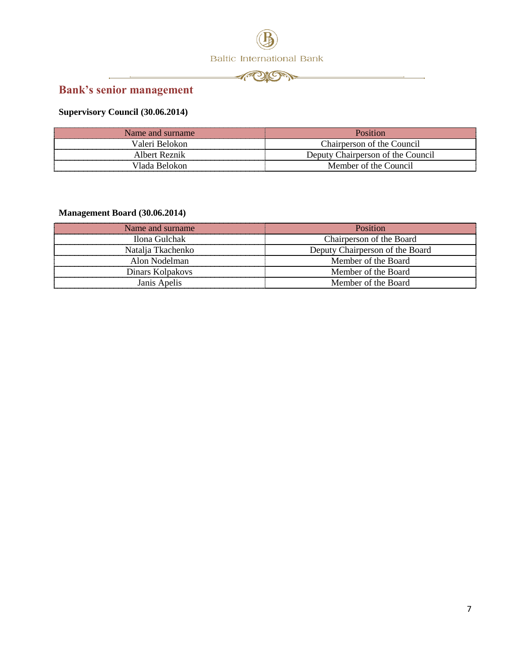



## <span id="page-6-0"></span>**Bank's senior management**

j.

<u> 1989 - Johann Stoff, fransk politik (d. 1989)</u>

## **Supervisory Council (30.06.2014)**

| Name and surname | Position                          |
|------------------|-----------------------------------|
| Valeri Belokon   | Chairperson of the Council        |
| Albert Reznik    | Deputy Chairperson of the Council |
| Vlada Belokon    | Member of the Council             |

#### **Management Board (30.06.2014)**

| Name and surname  | Position                        |
|-------------------|---------------------------------|
| Ilona Gulchak     | Chairperson of the Board        |
| Natalia Tkachenko | Deputy Chairperson of the Board |
| Alon Nodelman     | Member of the Board             |
| Dinars Kolpakovs  | Member of the Board             |
| Janis Apelis      | Member of the Board             |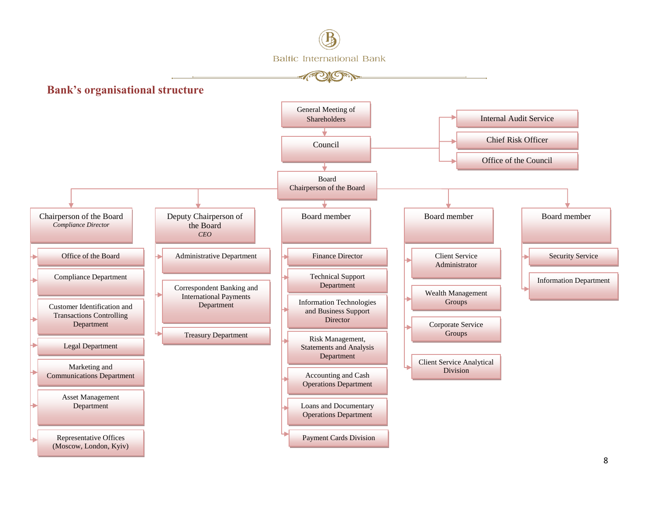<span id="page-7-0"></span>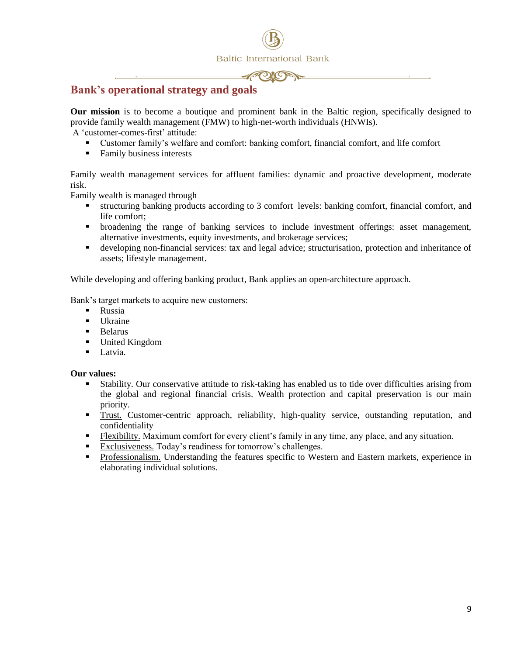

## <span id="page-8-0"></span>**Bank's operational strategy and goals**

**Our mission** is to become a boutique and prominent bank in the Baltic region, specifically designed to provide family wealth management (FMW) to high-net-worth individuals (HNWIs).

A 'customer-comes-first' attitude:

- Customer family's welfare and comfort: banking comfort, financial comfort, and life comfort
- Family business interests

Family wealth management services for affluent families: dynamic and proactive development, moderate risk.

Family wealth is managed through

- structuring banking products according to 3 comfort levels: banking comfort, financial comfort, and life comfort;
- broadening the range of banking services to include investment offerings: asset management, alternative investments, equity investments, and brokerage services;
- developing non-financial services: tax and legal advice; structurisation, protection and inheritance of assets; lifestyle management.

While developing and offering banking product, Bank applies an open-architecture approach.

Bank's target markets to acquire new customers:

- **Russia**
- $\blacksquare$  Ukraine
- **Belarus**
- United Kingdom
- **Latvia.**

#### **Our values:**

- Stability. Our conservative attitude to risk-taking has enabled us to tide over difficulties arising from the global and regional financial crisis. Wealth protection and capital preservation is our main priority.
- Trust. Customer-centric approach, reliability, high-quality service, outstanding reputation, and confidentiality
- Flexibility. Maximum comfort for every client's family in any time, any place, and any situation.
- Exclusiveness. Today's readiness for tomorrow's challenges.
- Professionalism. Understanding the features specific to Western and Eastern markets, experience in elaborating individual solutions.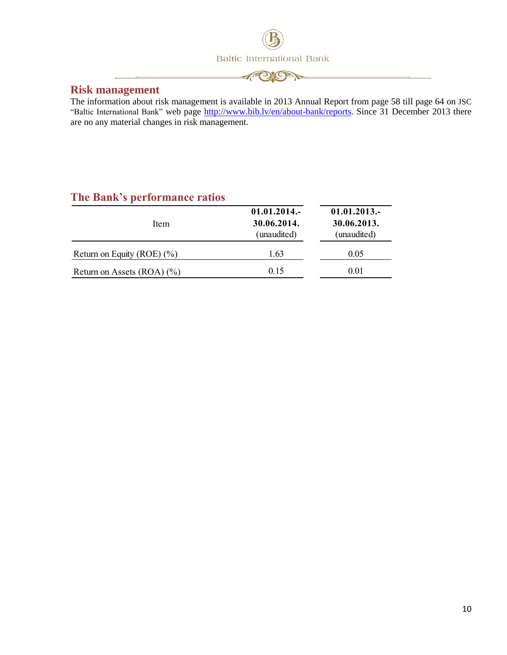

**APORT** 

<span id="page-9-0"></span>

The information about risk management is available in 2013 Annual Report from page 58 till page 64 on JSC "Baltic International Bank" web page [http://www.bib.lv/en/about-bank/reports.](http://www.bib.lv/en/about-bank/reports) Since 31 December 2013 there are no any material changes in risk management.

## <span id="page-9-1"></span>**The Bank's performance ratios**

| Item                            | $01.01.2014$ .<br>30.06.2014.<br>(unaudited) | $01.01.2013-$<br>30.06.2013.<br>(unaudited) |
|---------------------------------|----------------------------------------------|---------------------------------------------|
| Return on Equity (ROE) $(\%$ )  | 1.63                                         | 0.05                                        |
| Return on Assets $(ROA)$ $(\%)$ | 0.15                                         | 0.01                                        |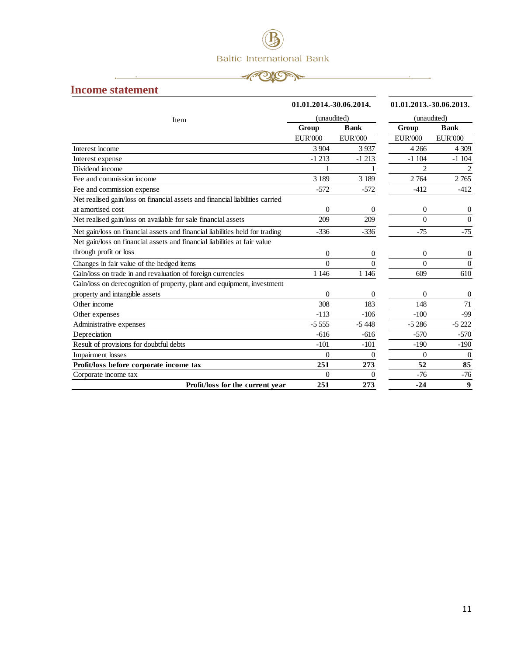

#### <span id="page-10-0"></span>**Income statement**

|                                                                              | 01.01.2014.-30.06.2014. |                  | 01.01.2013.-30.06.2013. |                  |
|------------------------------------------------------------------------------|-------------------------|------------------|-------------------------|------------------|
| Item                                                                         |                         | (unaudited)      |                         | (unaudited)      |
|                                                                              | Group                   | <b>Bank</b>      | Group                   | <b>B</b> ank     |
|                                                                              | <b>EUR'000</b>          | <b>EUR'000</b>   | <b>EUR'000</b>          | <b>EUR'000</b>   |
| Interest income                                                              | 3 904                   | 3937             | 4 2 6 6                 | 4 3 0 9          |
| Interest expense                                                             | $-1213$                 | $-1213$          | $-1104$                 | $-1104$          |
| Dividend income                                                              | 1                       | 1                | $\mathfrak{D}$          | 2                |
| Fee and commission income                                                    | 3 1 8 9                 | 3 1 8 9          | 2764                    | 2 7 6 5          |
| Fee and commission expense                                                   | $-572$                  | $-572$           | $-412$                  | $-412$           |
| Net realised gain/loss on financial assets and financial liabilities carried |                         |                  |                         |                  |
| at amortised cost                                                            | $\Omega$                | $\overline{0}$   | $\Omega$                | $\overline{0}$   |
| Net realised gain/loss on available for sale financial assets                | 209                     | 209              | $\theta$                | $\overline{0}$   |
| Net gain/loss on financial assets and financial liabilities held for trading | $-336$                  | $-336$           | $-75$                   | $-75$            |
| Net gain/loss on financial assets and financial liabilities at fair value    |                         |                  |                         |                  |
| through profit or loss                                                       | $\boldsymbol{0}$        | $\boldsymbol{0}$ | $\theta$                | 0                |
| Changes in fair value of the hedged items                                    | $\theta$                | $\theta$         | $\theta$                | $\Omega$         |
| Gain/loss on trade in and revaluation of foreign currencies                  | 1 1 4 6                 | 1 1 4 6          | 609                     | 610              |
| Gain/loss on derecognition of property, plant and equipment, investment      |                         |                  |                         |                  |
| property and intangible assets                                               | $\boldsymbol{0}$        | $\overline{0}$   | $\theta$                | $\overline{0}$   |
| Other income                                                                 | 308                     | 183              | 148                     | 71               |
| Other expenses                                                               | $-113$                  | $-106$           | $-100$                  | $-99$            |
| Administrative expenses                                                      | $-5555$                 | $-5448$          | $-5286$                 | $-5222$          |
| Depreciation                                                                 | $-616$                  | $-616$           | $-570$                  | $-570$           |
| Result of provisions for doubtful debts                                      | $-101$                  | $-101$           | $-190$                  | $-190$           |
| <b>Impairment</b> losses                                                     | $\Omega$                | $\Omega$         | $\Omega$                | $\Omega$         |
| Profit/loss before corporate income tax                                      | 251                     | 273              | 52                      | 85               |
| Corporate income tax                                                         | $\Omega$                | $\Omega$         | $-76$                   | $-76$            |
| Profit/loss for the current year                                             | 251                     | 273              | $-24$                   | $\boldsymbol{9}$ |
|                                                                              |                         |                  |                         |                  |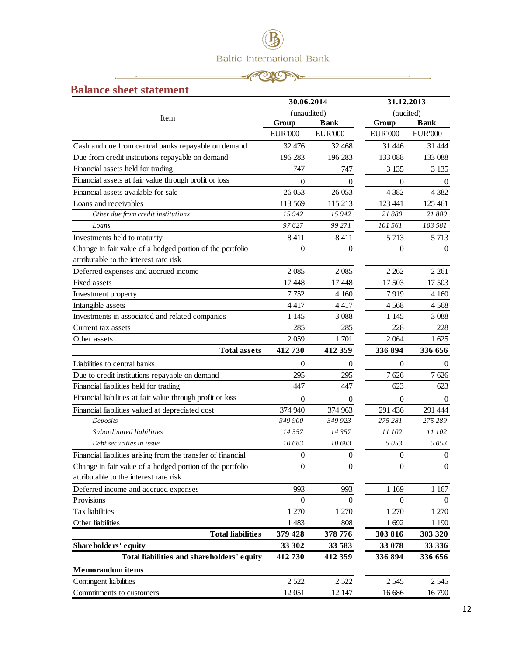

## <span id="page-11-0"></span>**Balance sheet statement**

|                                                                                                     | 30.06.2014       |                | 31.12.2013       |                  |
|-----------------------------------------------------------------------------------------------------|------------------|----------------|------------------|------------------|
|                                                                                                     | (unaudited)      |                | (audited)        |                  |
| Item                                                                                                | Group            | <b>Bank</b>    | Group            | <b>Bank</b>      |
|                                                                                                     | <b>EUR'000</b>   | <b>EUR'000</b> | <b>EUR'000</b>   | <b>EUR'000</b>   |
| Cash and due from central banks repayable on demand                                                 | 32 476           | 32 468         | 31 446           | 31 444           |
| Due from credit institutions repayable on demand                                                    | 196 283          | 196 283        | 133 088          | 133 088          |
| Financial assets held for trading                                                                   | 747              | 747            | 3 1 3 5          | 3 1 3 5          |
| Financial assets at fair value through profit or loss                                               | $\theta$         | 0              | $\theta$         | $\theta$         |
| Financial assets available for sale                                                                 | 26 053           | 26 053         | 4 3 8 2          | 4 3 8 2          |
| Loans and receivables                                                                               | 113 569          | 115 213        | 123 441          | 125 461          |
| Other due from credit institutions                                                                  | 15942            | 15 942         | 21880            | 21880            |
| Loans                                                                                               | 97627            | 99 27 1        | 101 561          | 103 581          |
| Investments held to maturity                                                                        | 8411             | 8411           | 5 7 1 3          | 5 7 1 3          |
| Change in fair value of a hedged portion of the portfolio<br>attributable to the interest rate risk | $\theta$         | $\Omega$       | $\theta$         | $\Omega$         |
| Deferred expenses and accrued income                                                                | 2085             | 2 0 8 5        | 2 2 6 2          | 2 2 6 1          |
| Fixed assets                                                                                        | 17448            | 17448          | 17 503           | 17 503           |
| Investment property                                                                                 | 7752             | 4 1 6 0        | 7919             | 4 1 6 0          |
| Intangible assets                                                                                   | 4417             | 4417           | 4568             | 4568             |
| Investments in associated and related companies                                                     | 1 1 4 5          | 3 0 8 8        | 1 1 4 5          | 3 0 8 8          |
| Current tax assets                                                                                  | 285              | 285            | 228              | 228              |
| Other assets                                                                                        | 2059             | 1701           | 2 0 6 4          | 1 625            |
| <b>Total assets</b>                                                                                 | 412730           | 412 359        | 336 894          | 336 656          |
| Liabilities to central banks                                                                        | $\overline{0}$   | 0              | $\theta$         | 0                |
| Due to credit institutions repayable on demand                                                      | 295              | 295            | 7626             | 7626             |
| Financial liabilities held for trading                                                              | 447              | 447            | 623              | 623              |
| Financial liabilities at fair value through profit or loss                                          | $\boldsymbol{0}$ | $\Omega$       | $\boldsymbol{0}$ | $\Omega$         |
| Financial liabilities valued at depreciated cost                                                    | 374 940          | 374 963        | 291 436          | 291 444          |
| Deposits                                                                                            | 349 900          | 349 923        | 275 281          | 275 289          |
| Subordinated liabilities                                                                            | 14357            | 14 357         | 11 102           | 11 102           |
| Debt securities in issue                                                                            | 10683            | 10683          | 5053             | 5053             |
| Financial liabilities arising from the transfer of financial                                        | $\overline{0}$   | 0              | $\boldsymbol{0}$ | $\theta$         |
| Change in fair value of a hedged portion of the portfolio                                           | $\boldsymbol{0}$ | $\Omega$       | $\boldsymbol{0}$ | $\boldsymbol{0}$ |
| attributable to the interest rate risk                                                              |                  |                |                  |                  |
| Deferred income and accrued expenses                                                                | 993              | 993            | 1 1 6 9          | 1 1 67           |
| Provisions                                                                                          | $\boldsymbol{0}$ | $\mathbf{0}$   | $\overline{0}$   | $\mathbf{0}$     |
| Tax liabilities                                                                                     | 1 270            | 1 270          | 1 270            | 1 270            |
| Other liabilities                                                                                   | 1 4 8 3          | 808            | 1 692            | 1 1 9 0          |
| <b>Total liabilities</b>                                                                            | 379 428          | 378 776        | 303 816          | 303 320          |
| Shareholders' equity                                                                                | 33 302           | 33 583         | 33 078           | 33 336           |
| Total liabilities and shareholders' equity                                                          | 412730           | 412 359        | 336 894          | 336 656          |
| <b>Memorandum</b> items                                                                             |                  |                |                  |                  |
| Contingent liabilities                                                                              | 2 5 2 2          | 2 5 2 2        | 2 5 4 5          | 2 5 4 5          |
| Commitments to customers                                                                            | 12 051           | 12 147         | 16 686           | 16790            |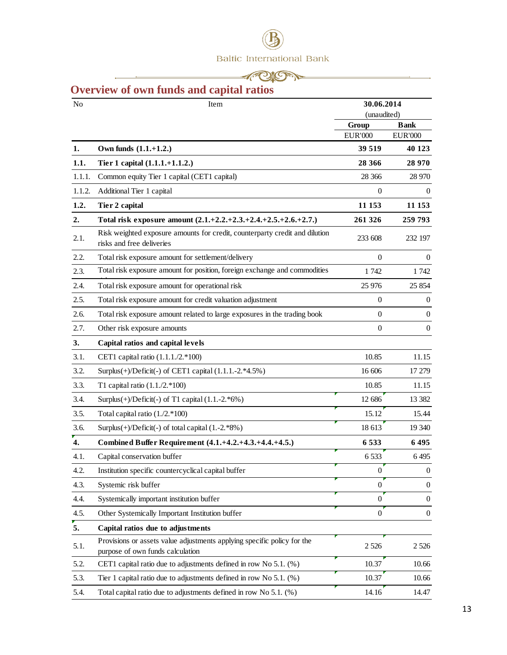

## <span id="page-12-0"></span>**Overview of own funds and capital ratios**

| No     | Item                                                                                                        |                  | 30.06.2014<br>(unaudited) |
|--------|-------------------------------------------------------------------------------------------------------------|------------------|---------------------------|
|        |                                                                                                             | Group            | <b>Bank</b>               |
|        |                                                                                                             | <b>EUR'000</b>   | <b>EUR'000</b>            |
| 1.     | Own funds $(1.1.+1.2.)$                                                                                     | 39 519           | 40 123                    |
| 1.1.   | Tier 1 capital (1.1.1.+1.1.2.)                                                                              | 28 36 6          | 28 970                    |
| 1.1.1. | Common equity Tier 1 capital (CET1 capital)                                                                 | 28 36 6          | 28 970                    |
| 1.1.2. | Additional Tier 1 capital                                                                                   | $\mathbf{0}$     | $\theta$                  |
| 1.2.   | Tier 2 capital                                                                                              | 11 153           | 11 153                    |
| 2.     | Total risk exposure amount (2.1.+2.2.+2.3.+2.4.+2.5.+2.6.+2.7.)                                             | 261 326          | 259 793                   |
| 2.1.   | Risk weighted exposure amounts for credit, counterparty credit and dilution<br>risks and free deliveries    | 233 608          | 232 197                   |
| 2.2.   | Total risk exposure amount for settlement/delivery                                                          | $\mathbf{0}$     | $\theta$                  |
| 2.3.   | Total risk exposure amount for position, foreign exchange and commodities                                   | 1742             | 1742                      |
| 2.4.   | Total risk exposure amount for operational risk                                                             | 25 976           | 25 854                    |
| 2.5.   | Total risk exposure amount for credit valuation adjustment                                                  | $\mathbf{0}$     | 0                         |
| 2.6.   | Total risk exposure amount related to large exposures in the trading book                                   | $\mathbf{0}$     | 0                         |
| 2.7.   | Other risk exposure amounts                                                                                 | $\boldsymbol{0}$ | $\mathbf{0}$              |
| 3.     | Capital ratios and capital levels                                                                           |                  |                           |
| 3.1.   | CET1 capital ratio (1.1.1./2.*100)                                                                          | 10.85            | 11.15                     |
| 3.2.   | Surplus(+)/Deficit(-) of CET1 capital (1.1.1.-2.*4.5%)                                                      | 16 606           | 17 279                    |
| 3.3.   | T1 capital ratio $(1.1./2.*100)$                                                                            | 10.85            | 11.15                     |
| 3.4.   | Surplus $(+)$ /Deficit $(-)$ of T1 capital $(1.1.-2.*6%)$                                                   | 12 686           | 13 3 8 2                  |
| 3.5.   | Total capital ratio $(1.72.*100)$                                                                           | 15.12            | 15.44                     |
| 3.6.   | Surplus $(+)$ /Deficit $(-)$ of total capital $(1.-2.*8%)$                                                  | 18 613           | 19 340                    |
| 4.     | Combined Buffer Requirement (4.1.+4.2.+4.3.+4.4.+4.5.)                                                      | 6533             | 6495                      |
| 4.1.   | Capital conservation buffer                                                                                 | 6 5 3 3          | 6495                      |
| 4.2.   | Institution specific countercyclical capital buffer                                                         | $\boldsymbol{0}$ | $\boldsymbol{0}$          |
| 4.3.   | Systemic risk buffer                                                                                        | $\theta$         | $\mathbf{0}$              |
| 4.4.   | Systemically important institution buffer                                                                   | $\theta$         | $\mathbf{0}$              |
| 4.5.   | Other Systemically Important Institution buffer                                                             | $\boldsymbol{0}$ | $\mathbf{0}$              |
| 5.     | Capital ratios due to adjustments                                                                           |                  |                           |
| 5.1.   | Provisions or assets value adjustments applying specific policy for the<br>purpose of own funds calculation | 2 5 2 6          | 2 5 2 6                   |
| 5.2.   | CET1 capital ratio due to adjustments defined in row No 5.1. (%)                                            | 10.37            | 10.66                     |
| 5.3.   | Tier 1 capital ratio due to adjustments defined in row No 5.1. (%)                                          | 10.37            | 10.66                     |
| 5.4.   | Total capital ratio due to adjustments defined in row No 5.1. (%)                                           | 14.16            | 14.47                     |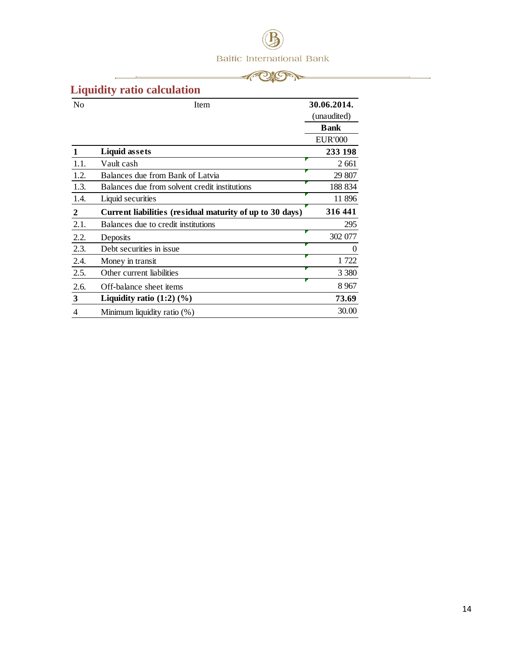



 $\overline{\phantom{a}}$ 

## <span id="page-13-0"></span>**Liquidity ratio calculation**

 $\overline{\phantom{a}}$ 

| N <sub>0</sub> | Item                                                     | 30.06.2014.    |
|----------------|----------------------------------------------------------|----------------|
|                |                                                          | (unaudited)    |
|                |                                                          | <b>Bank</b>    |
|                |                                                          | <b>EUR'000</b> |
|                | <b>Liquid assets</b>                                     | 233 198        |
| 1.1.           | Vault cash                                               | 2 6 6 1        |
| 1.2.           | Balances due from Bank of Latvia                         | 29 807         |
| 1.3.           | Balances due from solvent credit institutions            | 188 834        |
| 1.4.           | Liquid securities                                        | 11 896         |
| $\mathbf{2}$   | Current liabilities (residual maturity of up to 30 days) | 316 441        |
| 2.1.           | Balances due to credit institutions                      | 295            |
| 2.2.           | Deposits                                                 | 302 077        |
| 2.3.           | Debt securities in issue.                                | $\theta$       |
| 2.4.           | Money in transit                                         | 1722           |
| 2.5.           | Other current liabilities                                | 3 3 8 0        |
| 2.6.           | Off-balance sheet items                                  | 8 9 67         |
| $\mathbf{3}$   | Liquidity ratio $(1:2)$ $(\%)$                           | 73.69          |
| 4              | Minimum liquidity ratio (%)                              | 30.00          |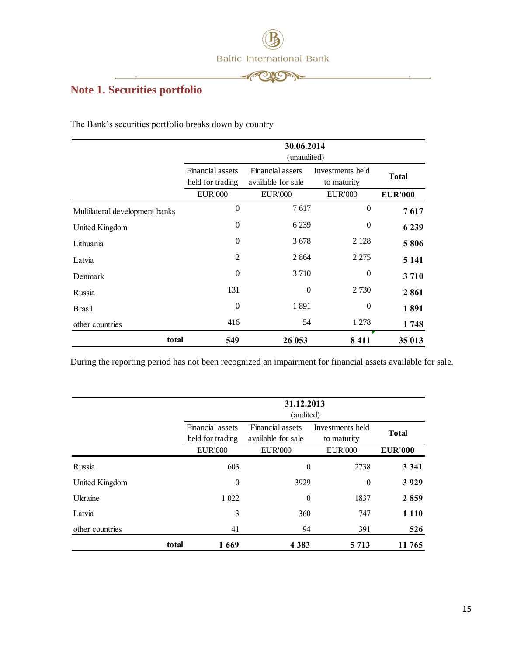

 $\mathscr{A}^\circ$ 

**CAMP** 

<u> 1980 - Andrea Brand, Amerikaansk kanton (</u>

## <span id="page-14-0"></span>**Note 1. Securities portfolio**

The Bank's securities portfolio breaks down by country

|                                |                                      | 30.06.2014<br>(unaudited)              |                                 |                |  |
|--------------------------------|--------------------------------------|----------------------------------------|---------------------------------|----------------|--|
|                                | Financial assets<br>held for trading | Financial assets<br>available for sale | Investments held<br>to maturity | <b>Total</b>   |  |
|                                | <b>EUR'000</b>                       | <b>EUR'000</b>                         | <b>EUR'000</b>                  | <b>EUR'000</b> |  |
| Multilateral development banks | $\theta$                             | 7617                                   | $\overline{0}$                  | 7617           |  |
| United Kingdom                 | $\overline{0}$                       | 6 2 3 9                                | $\theta$                        | 6 2 3 9        |  |
| Lithuania                      | $\Omega$                             | 3678                                   | 2 1 2 8                         | 5806           |  |
| Latvia                         | $\overline{2}$                       | 2 8 6 4                                | 2 2 7 5                         | 5 1 4 1        |  |
| Denmark                        | $\Omega$                             | 3 7 1 0                                | $\theta$                        | 3710           |  |
| Russia                         | 131                                  | $\Omega$                               | 2 7 3 0                         | 2861           |  |
| <b>Brasil</b>                  | $\Omega$                             | 1891                                   | $\theta$                        | 1891           |  |
| other countries                | 416                                  | 54                                     | 1 278                           | 1748           |  |
| total                          | 549                                  | 26 053                                 | 8411                            | 35 013         |  |

During the reporting period has not been recognized an impairment for financial assets available for sale.

|                 |       | 31.12.2013<br>(audited)                                                                                           |                  |                |                |
|-----------------|-------|-------------------------------------------------------------------------------------------------------------------|------------------|----------------|----------------|
|                 |       | Financial assets<br>Financial assets<br>Investments held<br>available for sale<br>held for trading<br>to maturity |                  | <b>Total</b>   |                |
|                 |       | <b>EUR'000</b>                                                                                                    | <b>EUR'000</b>   | <b>EUR'000</b> | <b>EUR'000</b> |
| Russia          |       | 603                                                                                                               | $\theta$         | 2738           | 3 3 4 1        |
| United Kingdom  |       | $\overline{0}$                                                                                                    | 3929<br>$\theta$ |                | 3929           |
| Ukraine         |       | 1 0 2 2                                                                                                           | $\theta$         | 1837           | 2859           |
| Latvia          |       | 3                                                                                                                 | 360              | 747            | 1 1 1 0        |
| other countries |       | 41                                                                                                                | 94               | 391            | 526            |
|                 | total | 1669                                                                                                              | 4 3 8 3          | 5 7 1 3        | 11 765         |